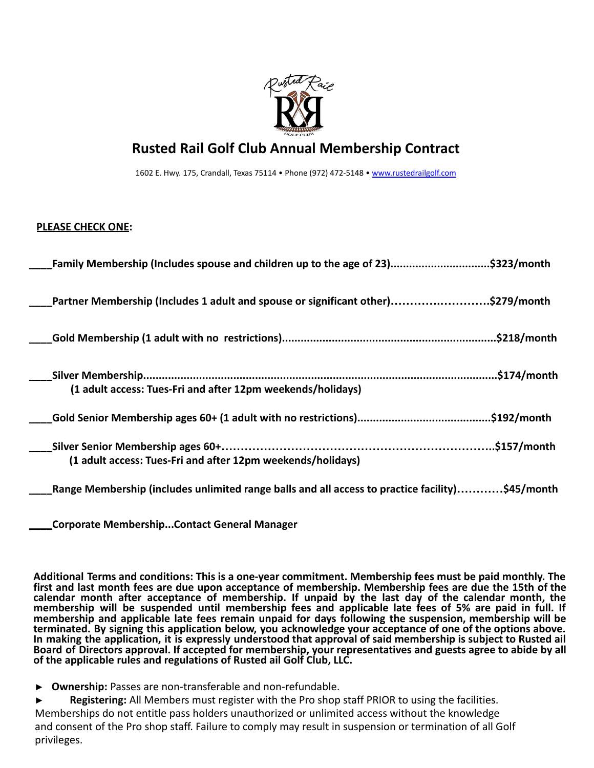

## **Rusted Rail Golf Club Annual Membership Contract**

1602 E. Hwy. 175, Crandall, Texas 75114 • Phone (972) 472-5148 • [www.rustedrailgolf.com](http://www.rustedrailgolf.com/)

## **PLEASE CHECK ONE:**

| Family Membership (Includes spouse and children up to the age of 23)\$323/month                 |
|-------------------------------------------------------------------------------------------------|
| Partner Membership (Includes 1 adult and spouse or significant other)\$279/month                |
|                                                                                                 |
| (1 adult access: Tues-Fri and after 12pm weekends/holidays)                                     |
|                                                                                                 |
| (1 adult access: Tues-Fri and after 12pm weekends/holidays)                                     |
| Range Membership (includes unlimited range balls and all access to practice facility)\$45/month |

**\_\_\_\_Corporate Membership...Contact General Manager**

**Additional Terms and conditions: This is a one-year commitment. Membership fees must be paid monthly. The** first and last month fees are due upon acceptance of membership. Membership fees are due the 15th of the **calendar month after acceptance of membership. If unpaid by the last day of the calendar month, the** membership will be suspended until membership fees and applicable late fees of 5% are paid in full. If **membership and applicable late fees remain unpaid for days following the suspension, membership will be terminated. By signing this application below, you acknowledge your acceptance of one of the options above.** In making the application, it is expressly understood that approval of said membership is subject to Rusted ail Board of Directors approval. If accepted for membership, your representatives and guests agree to abide by all **of the applicable rules and regulations of Rusted ail Golf Club, LLC.**

- **► Ownership:** Passes are non-transferable and non-refundable.
- **► Registering:** All Members must register with the Pro shop staff PRIOR to using the facilities. Memberships do not entitle pass holders unauthorized or unlimited access without the knowledge and consent of the Pro shop staff. Failure to comply may result in suspension or termination of all Golf privileges.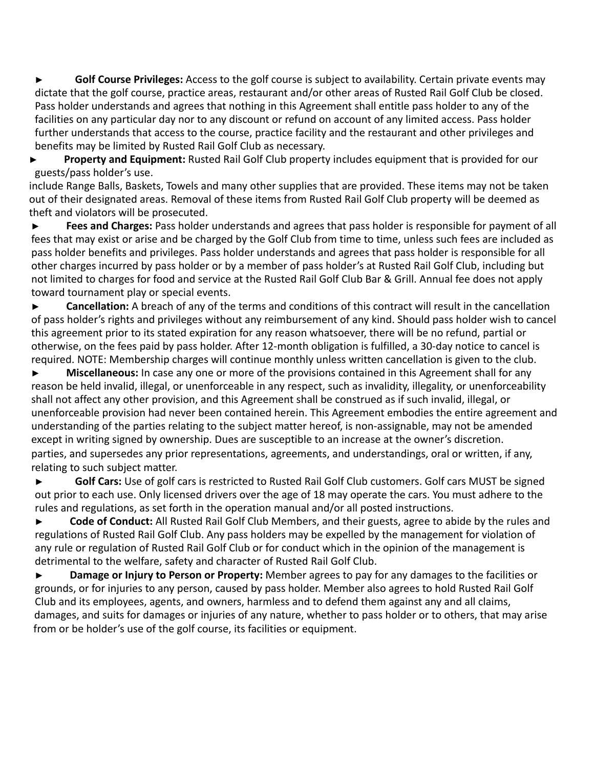**► Golf Course Privileges:** Access to the golf course is subject to availability. Certain private events may dictate that the golf course, practice areas, restaurant and/or other areas of Rusted Rail Golf Club be closed. Pass holder understands and agrees that nothing in this Agreement shall entitle pass holder to any of the facilities on any particular day nor to any discount or refund on account of any limited access. Pass holder further understands that access to the course, practice facility and the restaurant and other privileges and benefits may be limited by Rusted Rail Golf Club as necessary.

**► Property and Equipment:** Rusted Rail Golf Club property includes equipment that is provided for our guests/pass holder's use.

include Range Balls, Baskets, Towels and many other supplies that are provided. These items may not be taken out of their designated areas. Removal of these items from Rusted Rail Golf Club property will be deemed as theft and violators will be prosecuted.

**► Fees and Charges:** Pass holder understands and agrees that pass holder is responsible for payment of all fees that may exist or arise and be charged by the Golf Club from time to time, unless such fees are included as pass holder benefits and privileges. Pass holder understands and agrees that pass holder is responsible for all other charges incurred by pass holder or by a member of pass holder's at Rusted Rail Golf Club, including but not limited to charges for food and service at the Rusted Rail Golf Club Bar & Grill. Annual fee does not apply toward tournament play or special events.

**► Cancellation:** A breach of any of the terms and conditions of this contract will result in the cancellation of pass holder's rights and privileges without any reimbursement of any kind. Should pass holder wish to cancel this agreement prior to its stated expiration for any reason whatsoever, there will be no refund, partial or otherwise, on the fees paid by pass holder. After 12-month obligation is fulfilled, a 30-day notice to cancel is required. NOTE: Membership charges will continue monthly unless written cancellation is given to the club.

**► Miscellaneous:** In case any one or more of the provisions contained in this Agreement shall for any reason be held invalid, illegal, or unenforceable in any respect, such as invalidity, illegality, or unenforceability shall not affect any other provision, and this Agreement shall be construed as if such invalid, illegal, or unenforceable provision had never been contained herein. This Agreement embodies the entire agreement and understanding of the parties relating to the subject matter hereof, is non-assignable, may not be amended except in writing signed by ownership. Dues are susceptible to an increase at the owner's discretion. parties, and supersedes any prior representations, agreements, and understandings, oral or written, if any, relating to such subject matter.

Golf Cars: Use of golf cars is restricted to Rusted Rail Golf Club customers. Golf cars MUST be signed out prior to each use. Only licensed drivers over the age of 18 may operate the cars. You must adhere to the rules and regulations, as set forth in the operation manual and/or all posted instructions.

**► Code of Conduct:** All Rusted Rail Golf Club Members, and their guests, agree to abide by the rules and regulations of Rusted Rail Golf Club. Any pass holders may be expelled by the management for violation of any rule or regulation of Rusted Rail Golf Club or for conduct which in the opinion of the management is detrimental to the welfare, safety and character of Rusted Rail Golf Club.

**► Damage or Injury to Person or Property:** Member agrees to pay for any damages to the facilities or grounds, or for injuries to any person, caused by pass holder. Member also agrees to hold Rusted Rail Golf Club and its employees, agents, and owners, harmless and to defend them against any and all claims, damages, and suits for damages or injuries of any nature, whether to pass holder or to others, that may arise from or be holder's use of the golf course, its facilities or equipment.